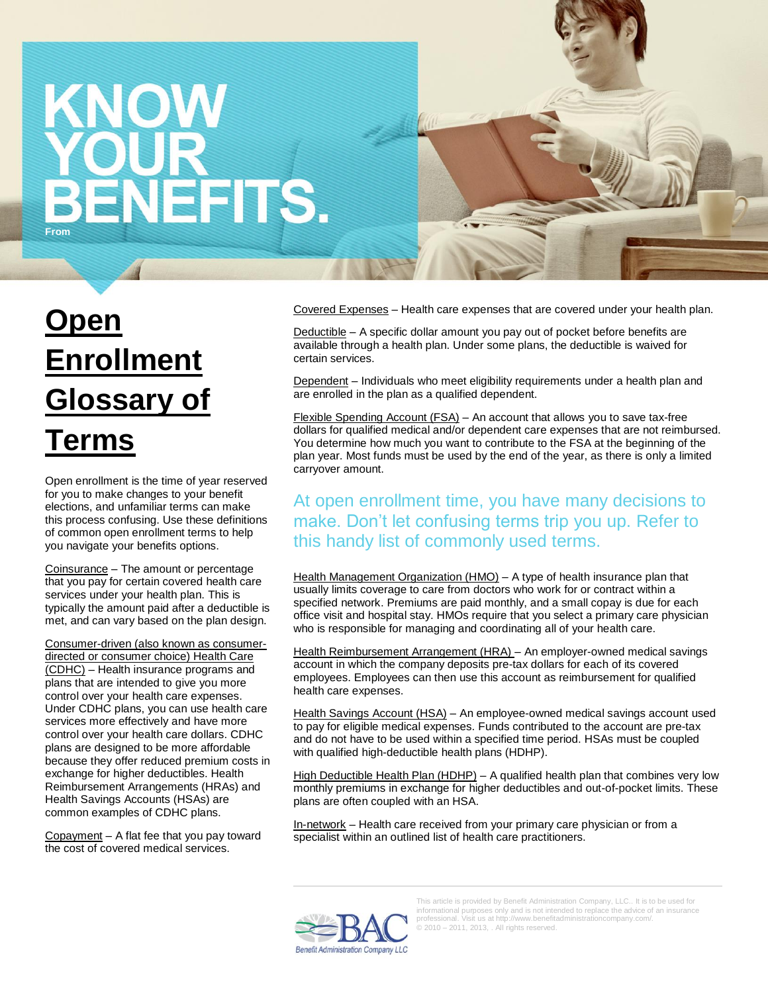## KNOW ENEFITS. **From**

## **Open Enrollment Glossary of Terms**

Open enrollment is the time of year reserved for you to make changes to your benefit elections, and unfamiliar terms can make this process confusing. Use these definitions of common open enrollment terms to help you navigate your benefits options.

Coinsurance – The amount or percentage that you pay for certain covered health care services under your health plan. This is typically the amount paid after a deductible is met, and can vary based on the plan design.

Consumer-driven (also known as consumerdirected or consumer choice) Health Care (CDHC) – Health insurance programs and plans that are intended to give you more control over your health care expenses. Under CDHC plans, you can use health care services more effectively and have more control over your health care dollars. CDHC plans are designed to be more affordable because they offer reduced premium costs in exchange for higher deductibles. Health Reimbursement Arrangements (HRAs) and Health Savings Accounts (HSAs) are common examples of CDHC plans.

Copayment – A flat fee that you pay toward the cost of covered medical services.

Covered Expenses – Health care expenses that are covered under your health plan.

Deductible – A specific dollar amount you pay out of pocket before benefits are available through a health plan. Under some plans, the deductible is waived for certain services.

Dependent – Individuals who meet eligibility requirements under a health plan and are enrolled in the plan as a qualified dependent.

Flexible Spending Account (FSA) - An account that allows you to save tax-free dollars for qualified medical and/or dependent care expenses that are not reimbursed. You determine how much you want to contribute to the FSA at the beginning of the plan year. Most funds must be used by the end of the year, as there is only a limited carryover amount.

## At open enrollment time, you have many decisions to make. Don't let confusing terms trip you up. Refer to this handy list of commonly used terms.

Health Management Organization (HMO) - A type of health insurance plan that usually limits coverage to care from doctors who work for or contract within a specified network. Premiums are paid monthly, and a small copay is due for each office visit and hospital stay. HMOs require that you select a primary care physician who is responsible for managing and coordinating all of your health care.

Health Reimbursement Arrangement (HRA) – An employer-owned medical savings account in which the company deposits pre-tax dollars for each of its covered employees. Employees can then use this account as reimbursement for qualified health care expenses.

Health Savings Account (HSA) – An employee-owned medical savings account used to pay for eligible medical expenses. Funds contributed to the account are pre-tax and do not have to be used within a specified time period. HSAs must be coupled with qualified high-deductible health plans (HDHP).

High Deductible Health Plan (HDHP) - A qualified health plan that combines very low monthly premiums in exchange for higher deductibles and out-of-pocket limits. These plans are often coupled with an HSA.

In-network – Health care received from your primary care physician or from a specialist within an outlined list of health care practitioners.



This article is provided by Benefit Administration Company, LLC.. It is to be used for informational purposes only and is not intended to replace the advice of an insurance professional. Visit us at http://www.benefitadministrationcompany.com/. © 2010 – 2011, 2013, . All rights reserved.